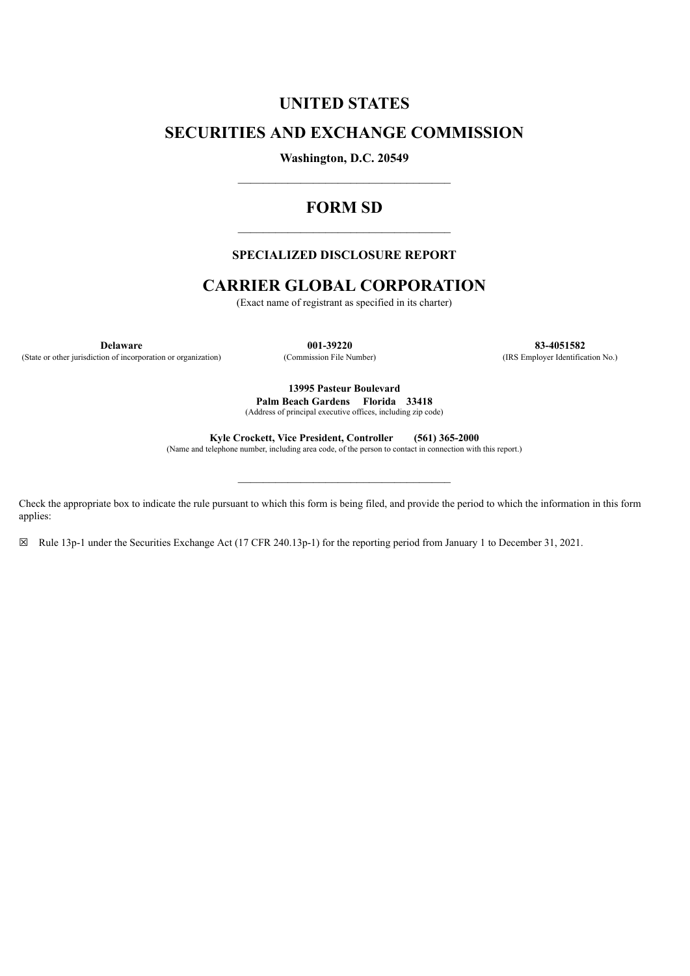# **UNITED STATES**

## **SECURITIES AND EXCHANGE COMMISSION**

**Washington, D.C. 20549**  $\mathcal{L}_\text{max}$  and  $\mathcal{L}_\text{max}$  and  $\mathcal{L}_\text{max}$  and  $\mathcal{L}_\text{max}$ 

## **FORM SD**  $\mathcal{L}_\text{max}$  and  $\mathcal{L}_\text{max}$  and  $\mathcal{L}_\text{max}$  and  $\mathcal{L}_\text{max}$

#### **SPECIALIZED DISCLOSURE REPORT**

## **CARRIER GLOBAL CORPORATION**

(Exact name of registrant as specified in its charter)

(State or other jurisdiction of incorporation or organization) (Commission File Number) (IRS Employer Identification No.)

**Delaware 001-39220 83-4051582**

**13995 Pasteur Boulevard Palm Beach Gardens Florida 33418**

(Address of principal executive offices, including zip code)

**Kyle Crockett, Vice President, Controller (561) 365-2000**

(Name and telephone number, including area code, of the person to contact in connection with this report.)

 $\_$ 

Check the appropriate box to indicate the rule pursuant to which this form is being filed, and provide the period to which the information in this form applies:

☒ Rule 13p-1 under the Securities Exchange Act (17 CFR 240.13p-1) for the reporting period from January 1 to December 31, 2021.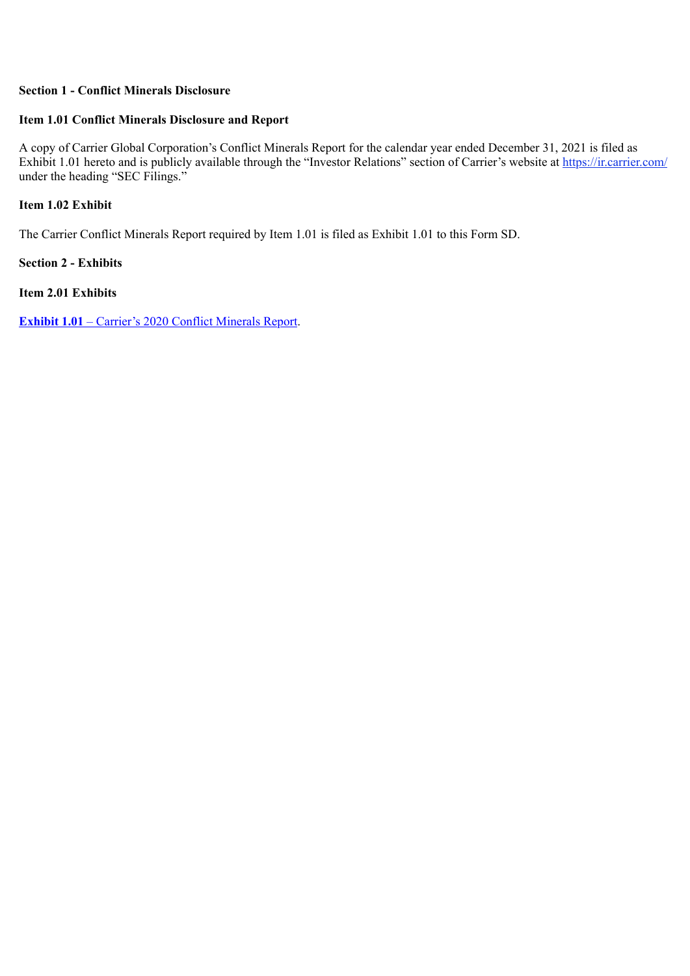#### **Section 1 - Conflict Minerals Disclosure**

#### **Item 1.01 Conflict Minerals Disclosure and Report**

A copy of Carrier Global Corporation's Conflict Minerals Report for the calendar year ended December 31, 2021 is filed as Exhibit 1.01 hereto and is publicly available through the "Investor Relations" section of Carrier's website at https://ir.carrier.com/ under the heading "SEC Filings."

#### **Item 1.02 Exhibit**

The Carrier Conflict Minerals Report required by Item 1.01 is filed as Exhibit 1.01 to this Form SD.

**Section 2 - Exhibits**

**Item 2.01 Exhibits**

**[Exhibit 1.01](#page-3-0)** [– Carrier's 2020 Conflict Minerals Report.](#page-3-0)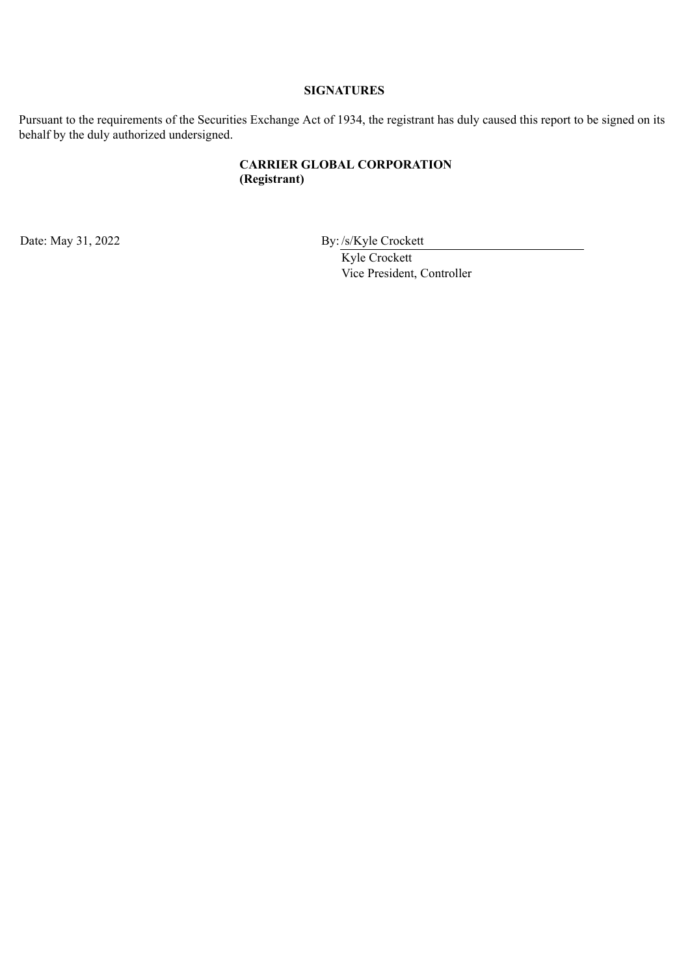## **SIGNATURES**

Pursuant to the requirements of the Securities Exchange Act of 1934, the registrant has duly caused this report to be signed on its behalf by the duly authorized undersigned.

## **CARRIER GLOBAL CORPORATION (Registrant)**

Date: May 31, 2022 By: /s/Kyle Crockett

Kyle Crockett Vice President, Controller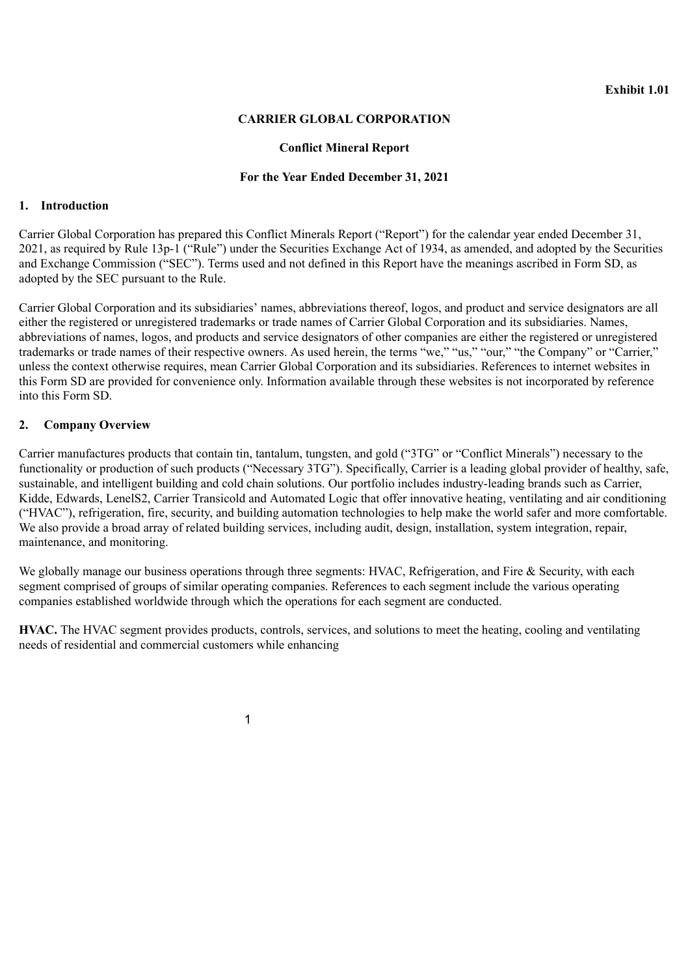### **CARRIER GLOBAL CORPORATION**

#### **Conflict Mineral Report**

#### **For the Year Ended December 31, 2021**

#### <span id="page-3-0"></span>**1. Introduction**

Carrier Global Corporation has prepared this Conflict Minerals Report ("Report") for the calendar year ended December 31, 2021, as required by Rule 13p-1 ("Rule") under the Securities Exchange Act of 1934, as amended, and adopted by the Securities and Exchange Commission ("SEC"). Terms used and not defined in this Report have the meanings ascribed in Form SD, as adopted by the SEC pursuant to the Rule.

Carrier Global Corporation and its subsidiaries' names, abbreviations thereof, logos, and product and service designators are all either the registered or unregistered trademarks or trade names of Carrier Global Corporation and its subsidiaries. Names, abbreviations of names, logos, and products and service designators of other companies are either the registered or unregistered trademarks or trade names of their respective owners. As used herein, the terms "we," "us," "our," "the Company" or "Carrier," unless the context otherwise requires, mean Carrier Global Corporation and its subsidiaries. References to internet websites in this Form SD are provided for convenience only. Information available through these websites is not incorporated by reference into this Form SD.

#### **2. Company Overview**

Carrier manufactures products that contain tin, tantalum, tungsten, and gold ("3TG" or "Conflict Minerals") necessary to the functionality or production of such products ("Necessary 3TG"). Specifically, Carrier is a leading global provider of healthy, safe, sustainable, and intelligent building and cold chain solutions. Our portfolio includes industry-leading brands such as Carrier, Kidde, Edwards, LenelS2, Carrier Transicold and Automated Logic that offer innovative heating, ventilating and air conditioning ("HVAC"), refrigeration, fire, security, and building automation technologies to help make the world safer and more comfortable. We also provide a broad array of related building services, including audit, design, installation, system integration, repair, maintenance, and monitoring.

We globally manage our business operations through three segments: HVAC, Refrigeration, and Fire & Security, with each segment comprised of groups of similar operating companies. References to each segment include the various operating companies established worldwide through which the operations for each segment are conducted.

**HVAC.** The HVAC segment provides products, controls, services, and solutions to meet the heating, cooling and ventilating needs of residential and commercial customers while enhancing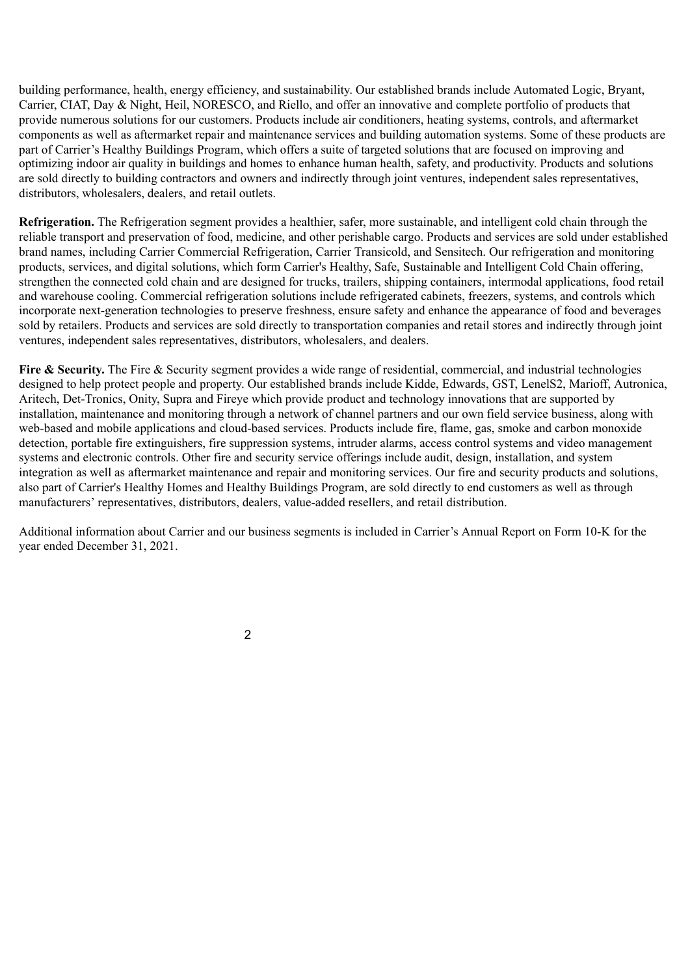building performance, health, energy efficiency, and sustainability. Our established brands include Automated Logic, Bryant, Carrier, CIAT, Day & Night, Heil, NORESCO, and Riello, and offer an innovative and complete portfolio of products that provide numerous solutions for our customers. Products include air conditioners, heating systems, controls, and aftermarket components as well as aftermarket repair and maintenance services and building automation systems. Some of these products are part of Carrier's Healthy Buildings Program, which offers a suite of targeted solutions that are focused on improving and optimizing indoor air quality in buildings and homes to enhance human health, safety, and productivity. Products and solutions are sold directly to building contractors and owners and indirectly through joint ventures, independent sales representatives, distributors, wholesalers, dealers, and retail outlets.

**Refrigeration.** The Refrigeration segment provides a healthier, safer, more sustainable, and intelligent cold chain through the reliable transport and preservation of food, medicine, and other perishable cargo. Products and services are sold under established brand names, including Carrier Commercial Refrigeration, Carrier Transicold, and Sensitech. Our refrigeration and monitoring products, services, and digital solutions, which form Carrier's Healthy, Safe, Sustainable and Intelligent Cold Chain offering, strengthen the connected cold chain and are designed for trucks, trailers, shipping containers, intermodal applications, food retail and warehouse cooling. Commercial refrigeration solutions include refrigerated cabinets, freezers, systems, and controls which incorporate next-generation technologies to preserve freshness, ensure safety and enhance the appearance of food and beverages sold by retailers. Products and services are sold directly to transportation companies and retail stores and indirectly through joint ventures, independent sales representatives, distributors, wholesalers, and dealers.

**Fire & Security.** The Fire & Security segment provides a wide range of residential, commercial, and industrial technologies designed to help protect people and property. Our established brands include Kidde, Edwards, GST, LenelS2, Marioff, Autronica, Aritech, Det-Tronics, Onity, Supra and Fireye which provide product and technology innovations that are supported by installation, maintenance and monitoring through a network of channel partners and our own field service business, along with web-based and mobile applications and cloud-based services. Products include fire, flame, gas, smoke and carbon monoxide detection, portable fire extinguishers, fire suppression systems, intruder alarms, access control systems and video management systems and electronic controls. Other fire and security service offerings include audit, design, installation, and system integration as well as aftermarket maintenance and repair and monitoring services. Our fire and security products and solutions, also part of Carrier's Healthy Homes and Healthy Buildings Program, are sold directly to end customers as well as through manufacturers' representatives, distributors, dealers, value-added resellers, and retail distribution.

Additional information about Carrier and our business segments is included in Carrier's Annual Report on Form 10-K for the year ended December 31, 2021.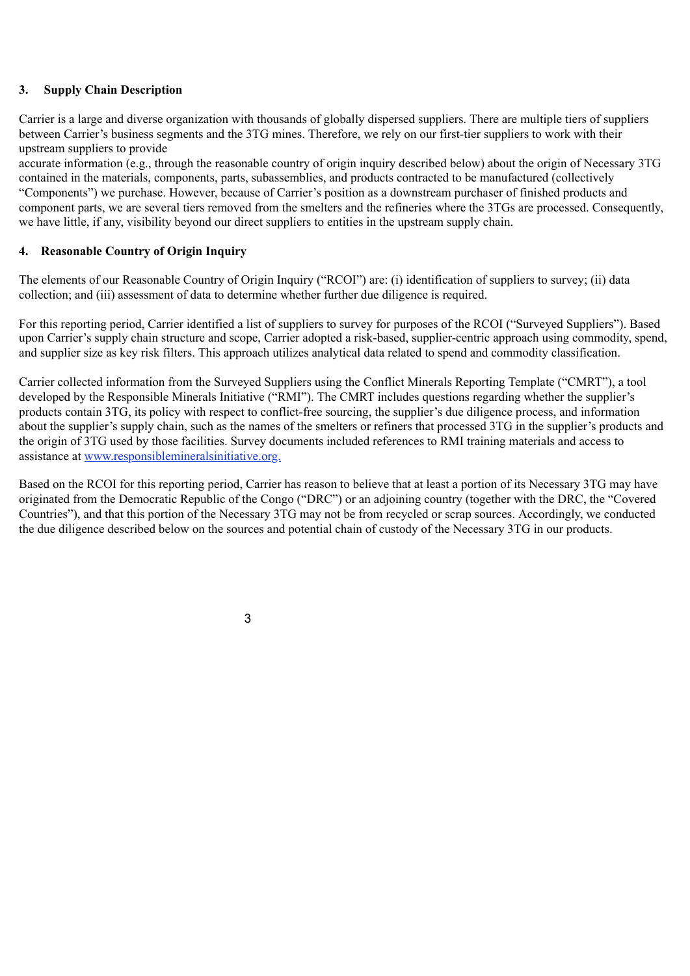### **3. Supply Chain Description**

Carrier is a large and diverse organization with thousands of globally dispersed suppliers. There are multiple tiers of suppliers between Carrier's business segments and the 3TG mines. Therefore, we rely on our first-tier suppliers to work with their upstream suppliers to provide

accurate information (e.g., through the reasonable country of origin inquiry described below) about the origin of Necessary 3TG contained in the materials, components, parts, subassemblies, and products contracted to be manufactured (collectively "Components") we purchase. However, because of Carrier's position as a downstream purchaser of finished products and component parts, we are several tiers removed from the smelters and the refineries where the 3TGs are processed. Consequently, we have little, if any, visibility beyond our direct suppliers to entities in the upstream supply chain.

## **4. Reasonable Country of Origin Inquiry**

The elements of our Reasonable Country of Origin Inquiry ("RCOI") are: (i) identification of suppliers to survey; (ii) data collection; and (iii) assessment of data to determine whether further due diligence is required.

For this reporting period, Carrier identified a list of suppliers to survey for purposes of the RCOI ("Surveyed Suppliers"). Based upon Carrier's supply chain structure and scope, Carrier adopted a risk-based, supplier-centric approach using commodity, spend, and supplier size as key risk filters. This approach utilizes analytical data related to spend and commodity classification.

Carrier collected information from the Surveyed Suppliers using the Conflict Minerals Reporting Template ("CMRT"), a tool developed by the Responsible Minerals Initiative ("RMI"). The CMRT includes questions regarding whether the supplier's products contain 3TG, its policy with respect to conflict-free sourcing, the supplier's due diligence process, and information about the supplier's supply chain, such as the names of the smelters or refiners that processed 3TG in the supplier's products and the origin of 3TG used by those facilities. Survey documents included references to RMI training materials and access to assistance at www.responsiblemineralsinitiative.org.

Based on the RCOI for this reporting period, Carrier has reason to believe that at least a portion of its Necessary 3TG may have originated from the Democratic Republic of the Congo ("DRC") or an adjoining country (together with the DRC, the "Covered Countries"), and that this portion of the Necessary 3TG may not be from recycled or scrap sources. Accordingly, we conducted the due diligence described below on the sources and potential chain of custody of the Necessary 3TG in our products.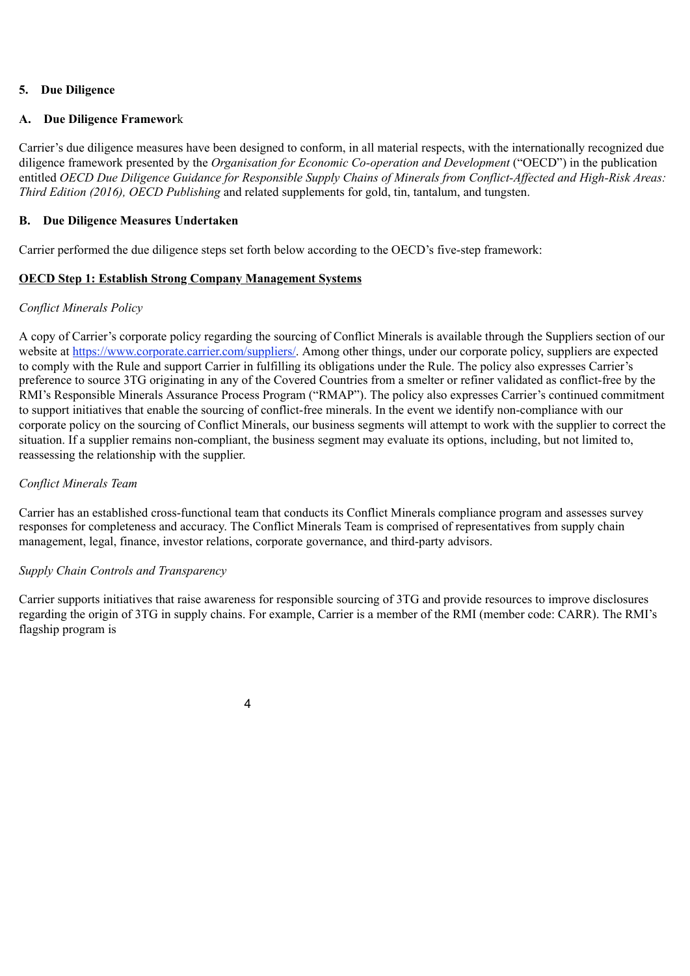## **5. Due Diligence**

#### **A. Due Diligence Framewor**k

Carrier's due diligence measures have been designed to conform, in all material respects, with the internationally recognized due diligence framework presented by the *Organisation for Economic Co-operation and Development* ("OECD") in the publication entitled *OECD Due Diligence Guidance for Responsible Supply Chains of Minerals from Conflict-Affected and High-Risk Areas: Third Edition (2016), OECD Publishing* and related supplements for gold, tin, tantalum, and tungsten.

#### **B. Due Diligence Measures Undertaken**

Carrier performed the due diligence steps set forth below according to the OECD's five-step framework:

## **OECD Step 1: Establish Strong Company Management Systems**

#### *Conflict Minerals Policy*

A copy of Carrier's corporate policy regarding the sourcing of Conflict Minerals is available through the Suppliers section of our website at https://www.corporate.carrier.com/suppliers/. Among other things, under our corporate policy, suppliers are expected to comply with the Rule and support Carrier in fulfilling its obligations under the Rule. The policy also expresses Carrier's preference to source 3TG originating in any of the Covered Countries from a smelter or refiner validated as conflict-free by the RMI's Responsible Minerals Assurance Process Program ("RMAP"). The policy also expresses Carrier's continued commitment to support initiatives that enable the sourcing of conflict-free minerals. In the event we identify non-compliance with our corporate policy on the sourcing of Conflict Minerals, our business segments will attempt to work with the supplier to correct the situation. If a supplier remains non-compliant, the business segment may evaluate its options, including, but not limited to, reassessing the relationship with the supplier.

#### *Conflict Minerals Team*

Carrier has an established cross-functional team that conducts its Conflict Minerals compliance program and assesses survey responses for completeness and accuracy. The Conflict Minerals Team is comprised of representatives from supply chain management, legal, finance, investor relations, corporate governance, and third-party advisors.

#### *Supply Chain Controls and Transparency*

Carrier supports initiatives that raise awareness for responsible sourcing of 3TG and provide resources to improve disclosures regarding the origin of 3TG in supply chains. For example, Carrier is a member of the RMI (member code: CARR). The RMI's flagship program is

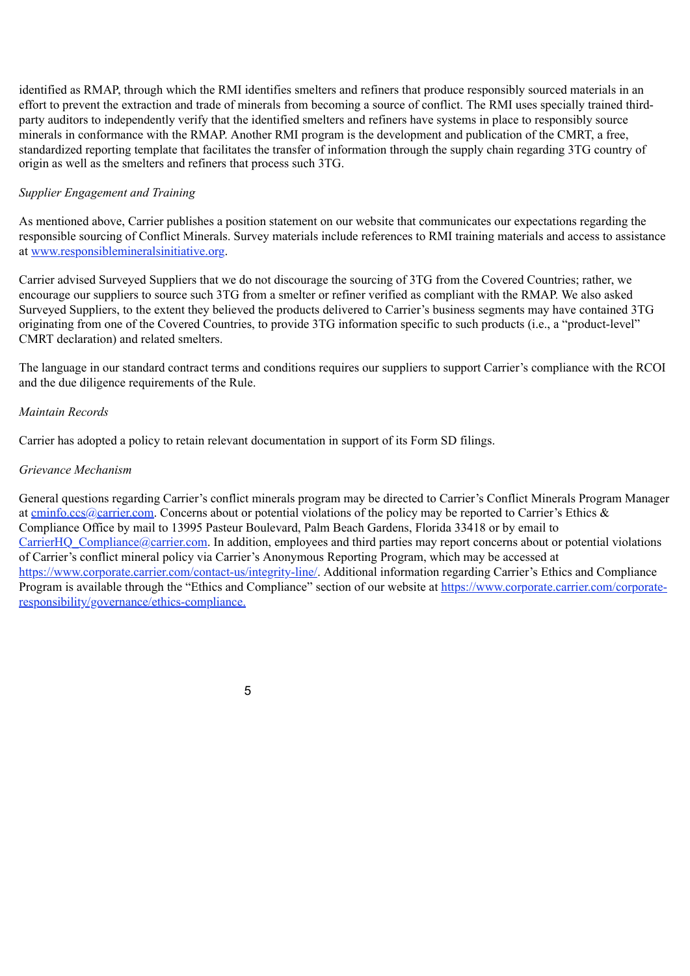identified as RMAP, through which the RMI identifies smelters and refiners that produce responsibly sourced materials in an effort to prevent the extraction and trade of minerals from becoming a source of conflict. The RMI uses specially trained thirdparty auditors to independently verify that the identified smelters and refiners have systems in place to responsibly source minerals in conformance with the RMAP. Another RMI program is the development and publication of the CMRT, a free, standardized reporting template that facilitates the transfer of information through the supply chain regarding 3TG country of origin as well as the smelters and refiners that process such 3TG.

## *Supplier Engagement and Training*

As mentioned above, Carrier publishes a position statement on our website that communicates our expectations regarding the responsible sourcing of Conflict Minerals. Survey materials include references to RMI training materials and access to assistance at www.responsiblemineralsinitiative.org.

Carrier advised Surveyed Suppliers that we do not discourage the sourcing of 3TG from the Covered Countries; rather, we encourage our suppliers to source such 3TG from a smelter or refiner verified as compliant with the RMAP. We also asked Surveyed Suppliers, to the extent they believed the products delivered to Carrier's business segments may have contained 3TG originating from one of the Covered Countries, to provide 3TG information specific to such products (i.e., a "product-level" CMRT declaration) and related smelters.

The language in our standard contract terms and conditions requires our suppliers to support Carrier's compliance with the RCOI and the due diligence requirements of the Rule.

#### *Maintain Records*

Carrier has adopted a policy to retain relevant documentation in support of its Form SD filings.

## *Grievance Mechanism*

General questions regarding Carrier's conflict minerals program may be directed to Carrier's Conflict Minerals Program Manager at cminfo.ccs@carrier.com. Concerns about or potential violations of the policy may be reported to Carrier's Ethics & Compliance Office by mail to 13995 Pasteur Boulevard, Palm Beach Gardens, Florida 33418 or by email to CarrierHO Compliance@carrier.com. In addition, employees and third parties may report concerns about or potential violations of Carrier's conflict mineral policy via Carrier's Anonymous Reporting Program, which may be accessed at https://www.corporate.carrier.com/contact-us/integrity-line/. Additional information regarding Carrier's Ethics and Compliance Program is available through the "Ethics and Compliance" section of our website at https://www.corporate.carrier.com/corporateresponsibility/governance/ethics-compliance.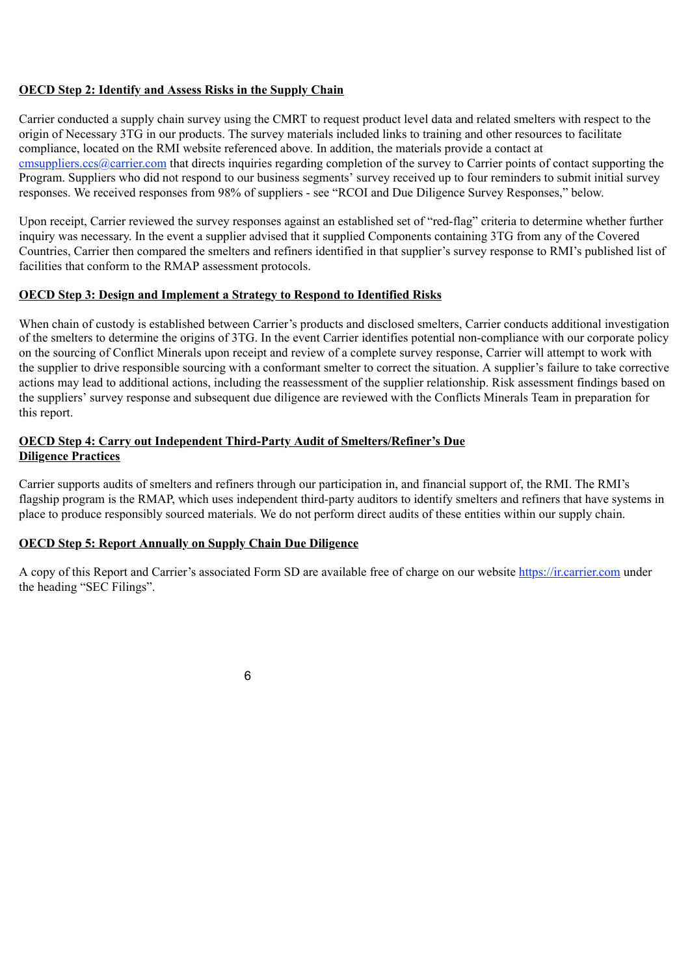## **OECD Step 2: Identify and Assess Risks in the Supply Chain**

Carrier conducted a supply chain survey using the CMRT to request product level data and related smelters with respect to the origin of Necessary 3TG in our products. The survey materials included links to training and other resources to facilitate compliance, located on the RMI website referenced above. In addition, the materials provide a contact at cmsuppliers.ccs@carrier.com that directs inquiries regarding completion of the survey to Carrier points of contact supporting the Program. Suppliers who did not respond to our business segments' survey received up to four reminders to submit initial survey responses. We received responses from 98% of suppliers - see "RCOI and Due Diligence Survey Responses," below.

Upon receipt, Carrier reviewed the survey responses against an established set of "red-flag" criteria to determine whether further inquiry was necessary. In the event a supplier advised that it supplied Components containing 3TG from any of the Covered Countries, Carrier then compared the smelters and refiners identified in that supplier's survey response to RMI's published list of facilities that conform to the RMAP assessment protocols.

## **OECD Step 3: Design and Implement a Strategy to Respond to Identified Risks**

When chain of custody is established between Carrier's products and disclosed smelters, Carrier conducts additional investigation of the smelters to determine the origins of 3TG. In the event Carrier identifies potential non-compliance with our corporate policy on the sourcing of Conflict Minerals upon receipt and review of a complete survey response, Carrier will attempt to work with the supplier to drive responsible sourcing with a conformant smelter to correct the situation. A supplier's failure to take corrective actions may lead to additional actions, including the reassessment of the supplier relationship. Risk assessment findings based on the suppliers' survey response and subsequent due diligence are reviewed with the Conflicts Minerals Team in preparation for this report.

## **OECD Step 4: Carry out Independent Third-Party Audit of Smelters/Refiner's Due Diligence Practices**

Carrier supports audits of smelters and refiners through our participation in, and financial support of, the RMI. The RMI's flagship program is the RMAP, which uses independent third-party auditors to identify smelters and refiners that have systems in place to produce responsibly sourced materials. We do not perform direct audits of these entities within our supply chain.

## **OECD Step 5: Report Annually on Supply Chain Due Diligence**

A copy of this Report and Carrier's associated Form SD are available free of charge on our website https://ir.carrier.com under the heading "SEC Filings".

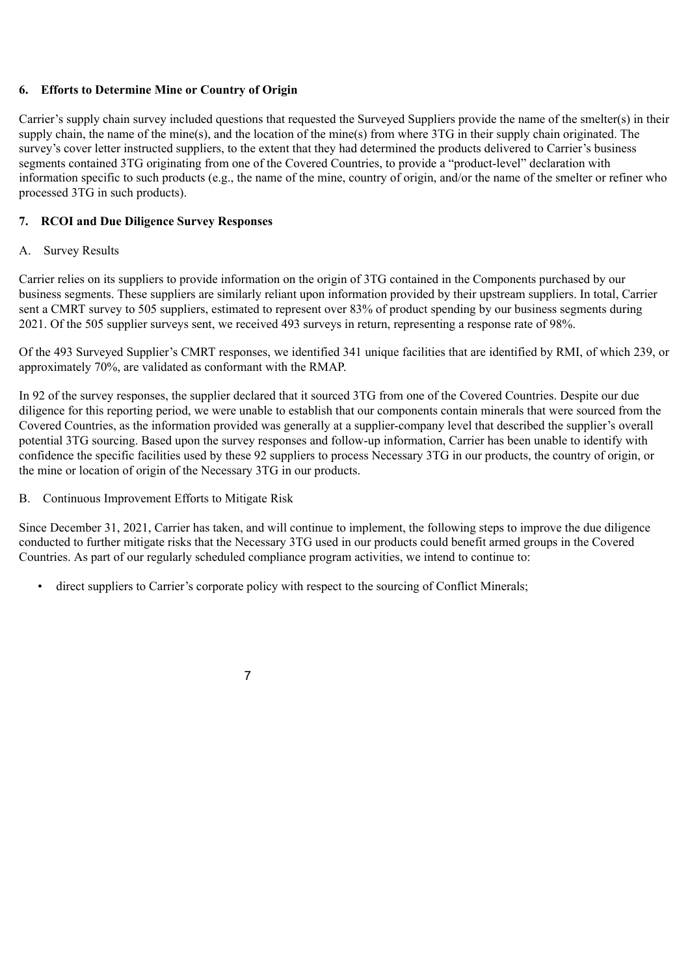## **6. Efforts to Determine Mine or Country of Origin**

Carrier's supply chain survey included questions that requested the Surveyed Suppliers provide the name of the smelter(s) in their supply chain, the name of the mine(s), and the location of the mine(s) from where 3TG in their supply chain originated. The survey's cover letter instructed suppliers, to the extent that they had determined the products delivered to Carrier's business segments contained 3TG originating from one of the Covered Countries, to provide a "product-level" declaration with information specific to such products (e.g., the name of the mine, country of origin, and/or the name of the smelter or refiner who processed 3TG in such products).

## **7. RCOI and Due Diligence Survey Responses**

## A. Survey Results

Carrier relies on its suppliers to provide information on the origin of 3TG contained in the Components purchased by our business segments. These suppliers are similarly reliant upon information provided by their upstream suppliers. In total, Carrier sent a CMRT survey to 505 suppliers, estimated to represent over 83% of product spending by our business segments during 2021. Of the 505 supplier surveys sent, we received 493 surveys in return, representing a response rate of 98%.

Of the 493 Surveyed Supplier's CMRT responses, we identified 341 unique facilities that are identified by RMI, of which 239, or approximately 70%, are validated as conformant with the RMAP.

In 92 of the survey responses, the supplier declared that it sourced 3TG from one of the Covered Countries. Despite our due diligence for this reporting period, we were unable to establish that our components contain minerals that were sourced from the Covered Countries, as the information provided was generally at a supplier-company level that described the supplier's overall potential 3TG sourcing. Based upon the survey responses and follow-up information, Carrier has been unable to identify with confidence the specific facilities used by these 92 suppliers to process Necessary 3TG in our products, the country of origin, or the mine or location of origin of the Necessary 3TG in our products.

B. Continuous Improvement Efforts to Mitigate Risk

Since December 31, 2021, Carrier has taken, and will continue to implement, the following steps to improve the due diligence conducted to further mitigate risks that the Necessary 3TG used in our products could benefit armed groups in the Covered Countries. As part of our regularly scheduled compliance program activities, we intend to continue to:

• direct suppliers to Carrier's corporate policy with respect to the sourcing of Conflict Minerals;

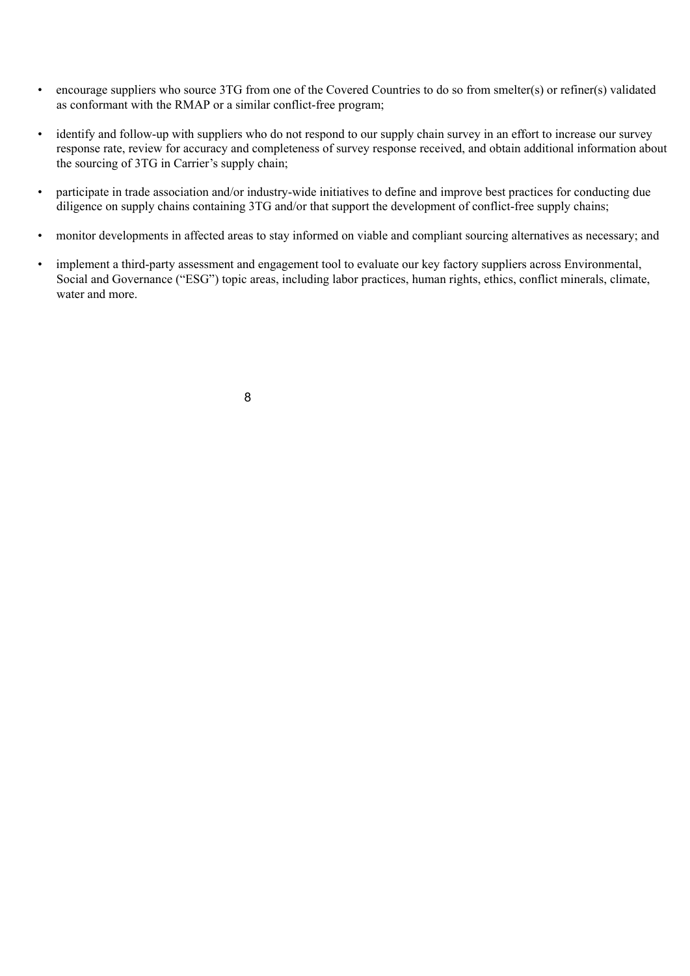- encourage suppliers who source 3TG from one of the Covered Countries to do so from smelter(s) or refiner(s) validated as conformant with the RMAP or a similar conflict-free program;
- identify and follow-up with suppliers who do not respond to our supply chain survey in an effort to increase our survey response rate, review for accuracy and completeness of survey response received, and obtain additional information about the sourcing of 3TG in Carrier's supply chain;
- participate in trade association and/or industry-wide initiatives to define and improve best practices for conducting due diligence on supply chains containing 3TG and/or that support the development of conflict-free supply chains;
- monitor developments in affected areas to stay informed on viable and compliant sourcing alternatives as necessary; and
- implement a third-party assessment and engagement tool to evaluate our key factory suppliers across Environmental, Social and Governance ("ESG") topic areas, including labor practices, human rights, ethics, conflict minerals, climate, water and more.